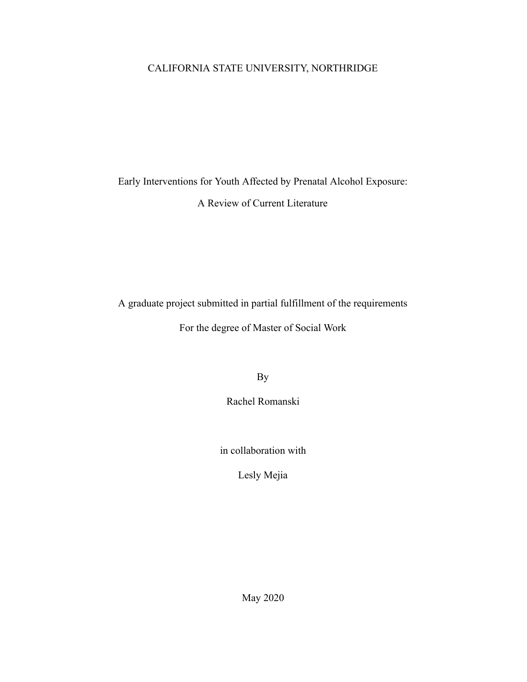# CALIFORNIA STATE UNIVERSITY, NORTHRIDGE

# Early Interventions for Youth Affected by Prenatal Alcohol Exposure: A Review of Current Literature

A graduate project submitted in partial fulfillment of the requirements

For the degree of Master of Social Work

By

Rachel Romanski

in collaboration with

Lesly Mejia

May 2020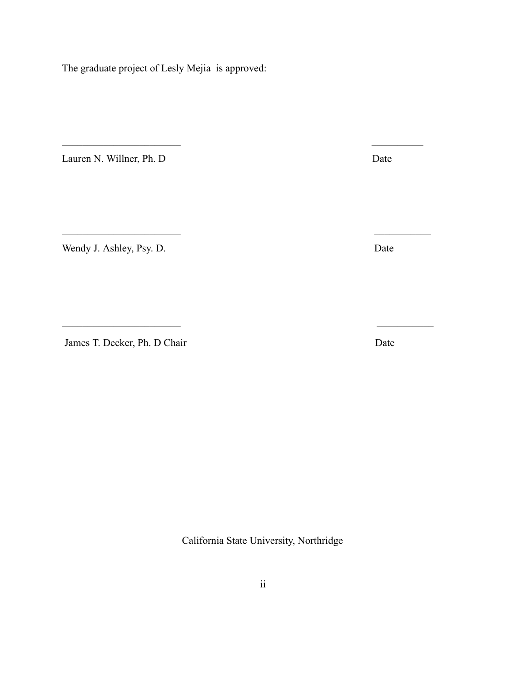The graduate project of Lesly Mejia is approved:

 $\mathcal{L}_\text{max}$  , and the contract of the contract of the contract of the contract of the contract of the contract of

 $\mathcal{L}_\text{max}$  , and the contract of the contract of the contract of the contract of the contract of the contract of

 $\mathcal{L}_\text{max}$  , and the contract of the contract of the contract of the contract of the contract of the contract of

Lauren N. Willner, Ph. D Date

Wendy J. Ashley, Psy. D. Date

James T. Decker, Ph. D Chair Date

California State University, Northridge

ii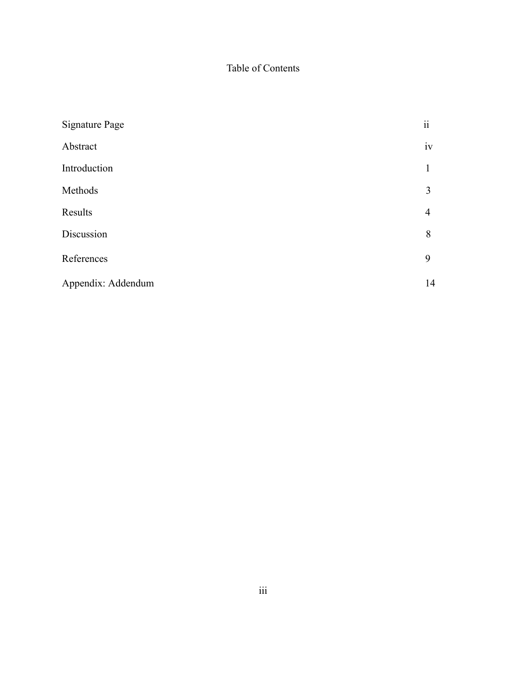# Table of Contents

| <b>Signature Page</b> | $\overline{\textbf{i}}$ |
|-----------------------|-------------------------|
| Abstract              | iv                      |
| Introduction          | 1                       |
| Methods               | 3                       |
| Results               | $\overline{4}$          |
| Discussion            | 8                       |
| References            | 9                       |
| Appendix: Addendum    | 14                      |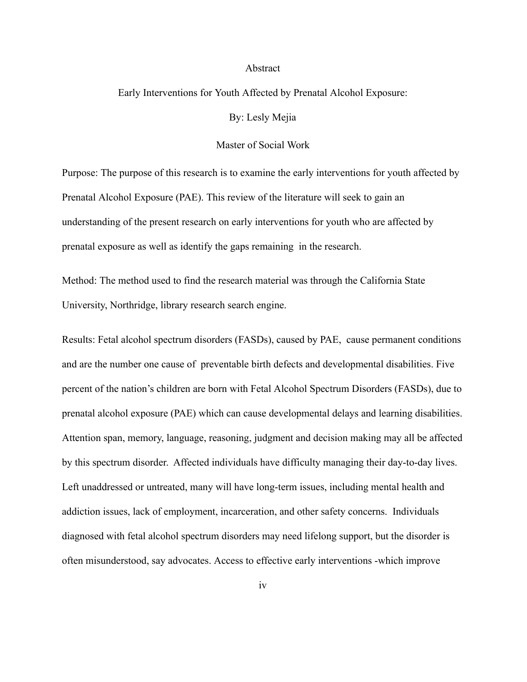#### Abstract

#### Early Interventions for Youth Affected by Prenatal Alcohol Exposure:

By: Lesly Mejia

#### Master of Social Work

Purpose: The purpose of this research is to examine the early interventions for youth affected by Prenatal Alcohol Exposure (PAE). This review of the literature will seek to gain an understanding of the present research on early interventions for youth who are affected by prenatal exposure as well as identify the gaps remaining in the research.

Method: The method used to find the research material was through the California State University, Northridge, library research search engine.

Results: Fetal alcohol spectrum disorders (FASDs), caused by PAE, cause permanent conditions and are the number one cause of preventable birth defects and developmental disabilities. Five percent of the nation's children are born with Fetal Alcohol Spectrum Disorders (FASDs), due to prenatal alcohol exposure (PAE) which can cause developmental delays and learning disabilities. Attention span, memory, language, reasoning, judgment and decision making may all be affected by this spectrum disorder. Affected individuals have difficulty managing their day-to-day lives. Left unaddressed or untreated, many will have long-term issues, including mental health and addiction issues, lack of employment, incarceration, and other safety concerns. Individuals diagnosed with fetal alcohol spectrum disorders may need lifelong support, but the disorder is often misunderstood, say advocates. Access to effective early interventions -which improve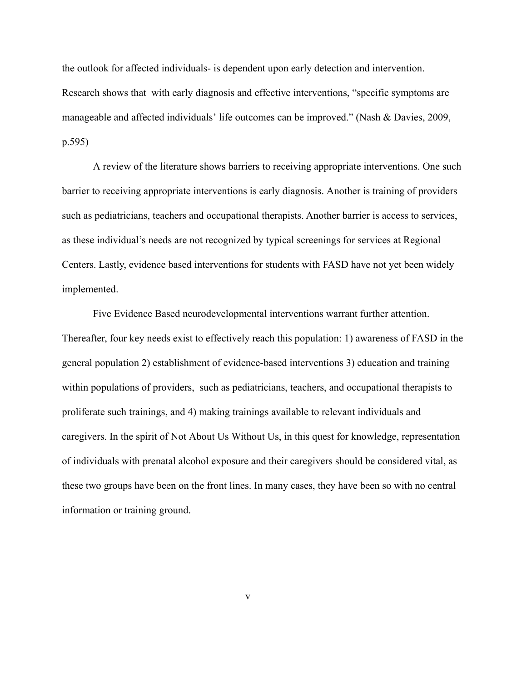the outlook for affected individuals- is dependent upon early detection and intervention. Research shows that with early diagnosis and effective interventions, "specific symptoms are manageable and affected individuals' life outcomes can be improved." (Nash & Davies, 2009, p.595)

A review of the literature shows barriers to receiving appropriate interventions. One such barrier to receiving appropriate interventions is early diagnosis. Another is training of providers such as pediatricians, teachers and occupational therapists. Another barrier is access to services, as these individual's needs are not recognized by typical screenings for services at Regional Centers. Lastly, evidence based interventions for students with FASD have not yet been widely implemented.

Five Evidence Based neurodevelopmental interventions warrant further attention. Thereafter, four key needs exist to effectively reach this population: 1) awareness of FASD in the general population 2) establishment of evidence-based interventions 3) education and training within populations of providers, such as pediatricians, teachers, and occupational therapists to proliferate such trainings, and 4) making trainings available to relevant individuals and caregivers. In the spirit of Not About Us Without Us, in this quest for knowledge, representation of individuals with prenatal alcohol exposure and their caregivers should be considered vital, as these two groups have been on the front lines. In many cases, they have been so with no central information or training ground.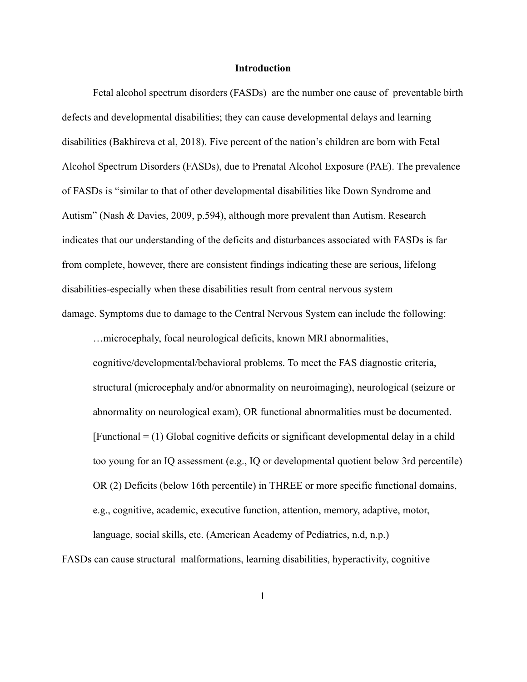#### **Introduction**

Fetal alcohol spectrum disorders (FASDs) are the number one cause of preventable birth defects and developmental disabilities; they can cause developmental delays and learning disabilities (Bakhireva et al, 2018). Five percent of the nation's children are born with Fetal Alcohol Spectrum Disorders (FASDs), due to Prenatal Alcohol Exposure (PAE). The prevalence of FASDs is "similar to that of other developmental disabilities like Down Syndrome and Autism" (Nash & Davies, 2009, p.594), although more prevalent than Autism. Research indicates that our understanding of the deficits and disturbances associated with FASDs is far from complete, however, there are consistent findings indicating these are serious, lifelong disabilities-especially when these disabilities result from central nervous system damage. Symptoms due to damage to the Central Nervous System can include the following:

…microcephaly, focal neurological deficits, known MRI abnormalities, cognitive/developmental/behavioral problems. To meet the FAS diagnostic criteria, structural (microcephaly and/or abnormality on neuroimaging), neurological (seizure or abnormality on neurological exam), OR functional abnormalities must be documented.  $[Functional = (1) Global cognitive deficits or significant developmental delay in a child]$ too young for an IQ assessment (e.g., IQ or developmental quotient below 3rd percentile) OR (2) Deficits (below 16th percentile) in THREE or more specific functional domains, e.g., cognitive, academic, executive function, attention, memory, adaptive, motor, language, social skills, etc. (American Academy of Pediatrics, n.d, n.p.)

FASDs can cause structural malformations, learning disabilities, hyperactivity, cognitive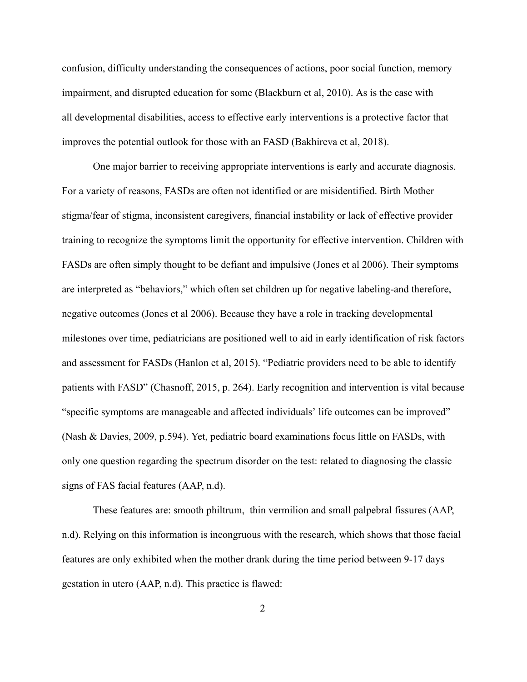confusion, difficulty understanding the consequences of actions, poor social function, memory impairment, and disrupted education for some (Blackburn et al, 2010). As is the case with all developmental disabilities, access to effective early interventions is a protective factor that improves the potential outlook for those with an FASD (Bakhireva et al, 2018).

One major barrier to receiving appropriate interventions is early and accurate diagnosis. For a variety of reasons, FASDs are often not identified or are misidentified. Birth Mother stigma/fear of stigma, inconsistent caregivers, financial instability or lack of effective provider training to recognize the symptoms limit the opportunity for effective intervention. Children with FASDs are often simply thought to be defiant and impulsive (Jones et al 2006). Their symptoms are interpreted as "behaviors," which often set children up for negative labeling-and therefore, negative outcomes (Jones et al 2006). Because they have a role in tracking developmental milestones over time, pediatricians are positioned well to aid in early identification of risk factors and assessment for FASDs (Hanlon et al, 2015). "Pediatric providers need to be able to identify patients with FASD" (Chasnoff, 2015, p. 264). Early recognition and intervention is vital because "specific symptoms are manageable and affected individuals' life outcomes can be improved" (Nash & Davies, 2009, p.594). Yet, pediatric board examinations focus little on FASDs, with only one question regarding the spectrum disorder on the test: related to diagnosing the classic signs of FAS facial features (AAP, n.d).

 These features are: smooth philtrum, thin vermilion and small palpebral fissures (AAP, n.d). Relying on this information is incongruous with the research, which shows that those facial features are only exhibited when the mother drank during the time period between 9-17 days gestation in utero (AAP, n.d). This practice is flawed: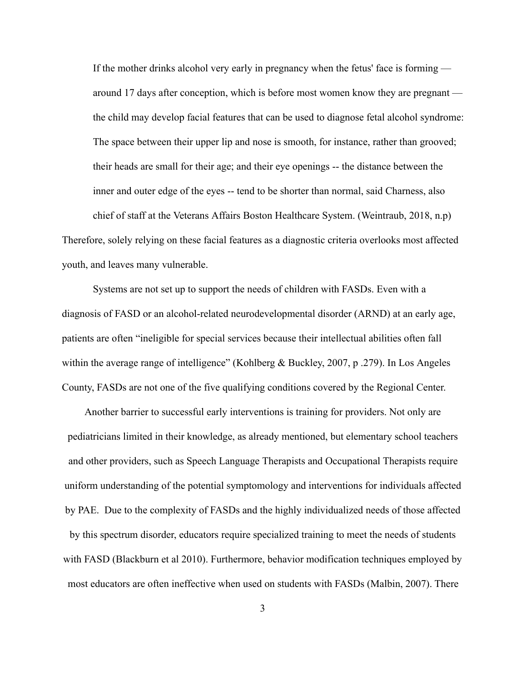If the mother drinks alcohol very early in pregnancy when the fetus' face is forming around 17 days after conception, which is before most women know they are pregnant the child may develop facial features that can be used to diagnose fetal alcohol syndrome: The space between their upper lip and nose is smooth, for instance, rather than grooved; their heads are small for their age; and their eye openings -- the distance between the inner and outer edge of the eyes -- tend to be shorter than normal, said Charness, also chief of staff at the Veterans Affairs Boston Healthcare System. (Weintraub, 2018, n.p) Therefore, solely relying on these facial features as a diagnostic criteria overlooks most affected youth, and leaves many vulnerable.

Systems are not set up to support the needs of children with FASDs. Even with a diagnosis of FASD or an alcohol-related neurodevelopmental disorder (ARND) at an early age, patients are often "ineligible for special services because their intellectual abilities often fall within the average range of intelligence" (Kohlberg & Buckley, 2007, p .279). In Los Angeles County, FASDs are not one of the five qualifying conditions covered by the Regional Center.

Another barrier to successful early interventions is training for providers. Not only are pediatricians limited in their knowledge, as already mentioned, but elementary school teachers and other providers, such as Speech Language Therapists and Occupational Therapists require uniform understanding of the potential symptomology and interventions for individuals affected by PAE. Due to the complexity of FASDs and the highly individualized needs of those affected by this spectrum disorder, educators require specialized training to meet the needs of students with FASD (Blackburn et al 2010). Furthermore, behavior modification techniques employed by most educators are often ineffective when used on students with FASDs (Malbin, 2007). There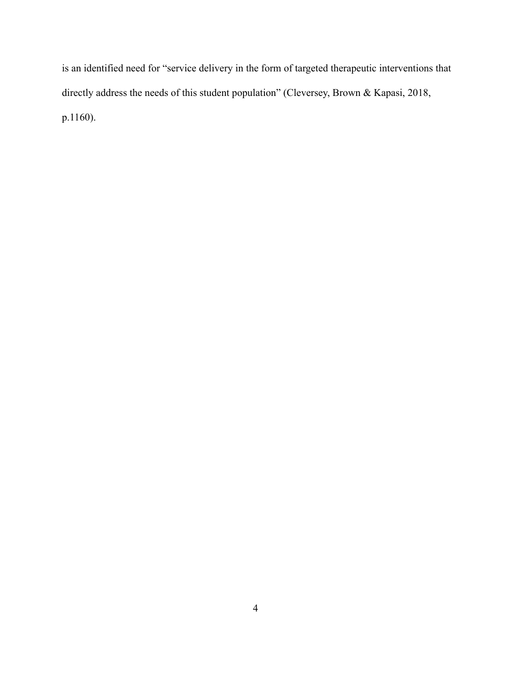is an identified need for "service delivery in the form of targeted therapeutic interventions that directly address the needs of this student population" (Cleversey, Brown & Kapasi, 2018, p.1160).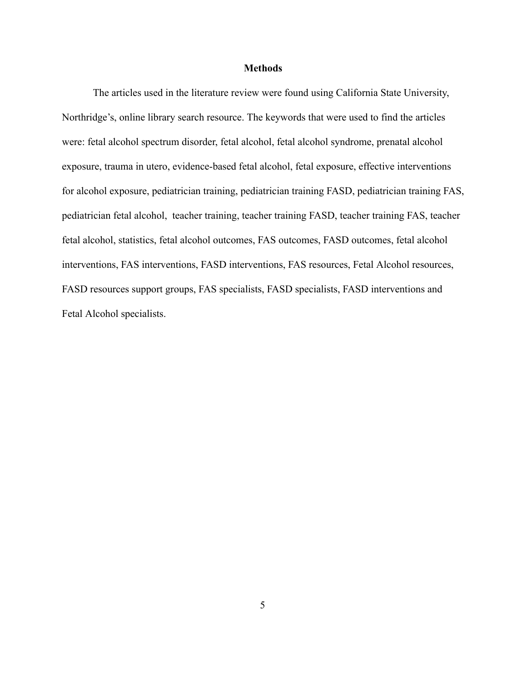#### **Methods**

The articles used in the literature review were found using California State University, Northridge's, online library search resource. The keywords that were used to find the articles were: fetal alcohol spectrum disorder, fetal alcohol, fetal alcohol syndrome, prenatal alcohol exposure, trauma in utero, evidence-based fetal alcohol, fetal exposure, effective interventions for alcohol exposure, pediatrician training, pediatrician training FASD, pediatrician training FAS, pediatrician fetal alcohol, teacher training, teacher training FASD, teacher training FAS, teacher fetal alcohol, statistics, fetal alcohol outcomes, FAS outcomes, FASD outcomes, fetal alcohol interventions, FAS interventions, FASD interventions, FAS resources, Fetal Alcohol resources, FASD resources support groups, FAS specialists, FASD specialists, FASD interventions and Fetal Alcohol specialists.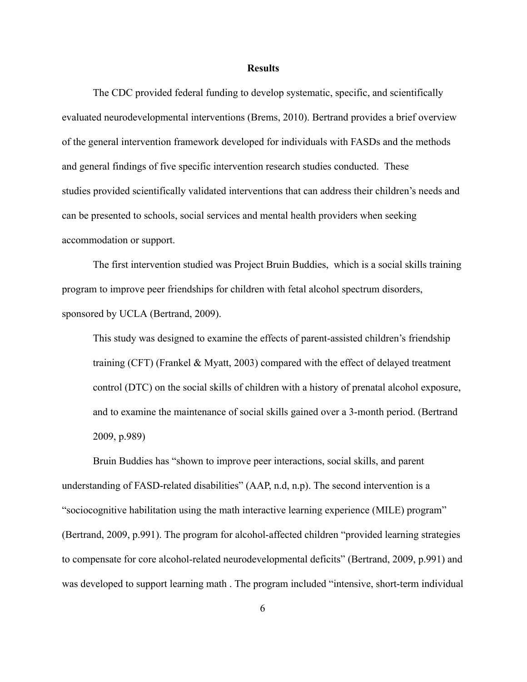#### **Results**

The CDC provided federal funding to develop systematic, specific, and scientifically evaluated neurodevelopmental interventions (Brems, 2010). Bertrand provides a brief overview of the general intervention framework developed for individuals with FASDs and the methods and general findings of five specific intervention research studies conducted. These studies provided scientifically validated interventions that can address their children's needs and can be presented to schools, social services and mental health providers when seeking accommodation or support.

The first intervention studied was Project Bruin Buddies, which is a social skills training program to improve peer friendships for children with fetal alcohol spectrum disorders, sponsored by UCLA (Bertrand, 2009).

This study was designed to examine the effects of parent-assisted children's friendship training (CFT) (Frankel & Myatt, 2003) compared with the effect of delayed treatment control (DTC) on the social skills of children with a history of prenatal alcohol exposure, and to examine the maintenance of social skills gained over a 3-month period. (Bertrand 2009, p.989)

Bruin Buddies has "shown to improve peer interactions, social skills, and parent understanding of FASD-related disabilities" (AAP, n.d, n.p). The second intervention is a "sociocognitive habilitation using the math interactive learning experience (MILE) program" (Bertrand, 2009, p.991). The program for alcohol-affected children "provided learning strategies to compensate for core alcohol-related neurodevelopmental deficits" (Bertrand, 2009, p.991) and was developed to support learning math . The program included "intensive, short-term individual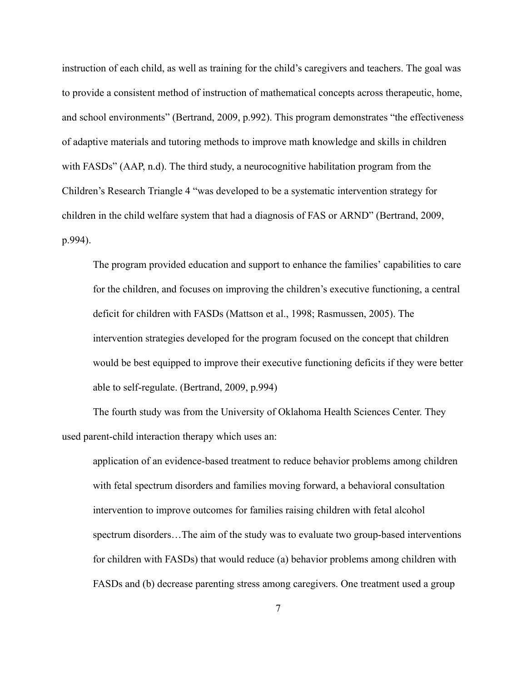instruction of each child, as well as training for the child's caregivers and teachers. The goal was to provide a consistent method of instruction of mathematical concepts across therapeutic, home, and school environments" (Bertrand, 2009, p.992). This program demonstrates "the effectiveness of adaptive materials and tutoring methods to improve math knowledge and skills in children with FASDs" (AAP, n.d). The third study, a neurocognitive habilitation program from the Children's Research Triangle 4 "was developed to be a systematic intervention strategy for children in the child welfare system that had a diagnosis of FAS or ARND" (Bertrand, 2009, p.994).

The program provided education and support to enhance the families' capabilities to care for the children, and focuses on improving the children's executive functioning, a central deficit for children with FASDs (Mattson et al., 1998; Rasmussen, 2005). The intervention strategies developed for the program focused on the concept that children would be best equipped to improve their executive functioning deficits if they were better able to self-regulate. (Bertrand, 2009, p.994)

The fourth study was from the University of Oklahoma Health Sciences Center. They used parent-child interaction therapy which uses an:

application of an evidence-based treatment to reduce behavior problems among children with fetal spectrum disorders and families moving forward, a behavioral consultation intervention to improve outcomes for families raising children with fetal alcohol spectrum disorders…The aim of the study was to evaluate two group-based interventions for children with FASDs) that would reduce (a) behavior problems among children with FASDs and (b) decrease parenting stress among caregivers. One treatment used a group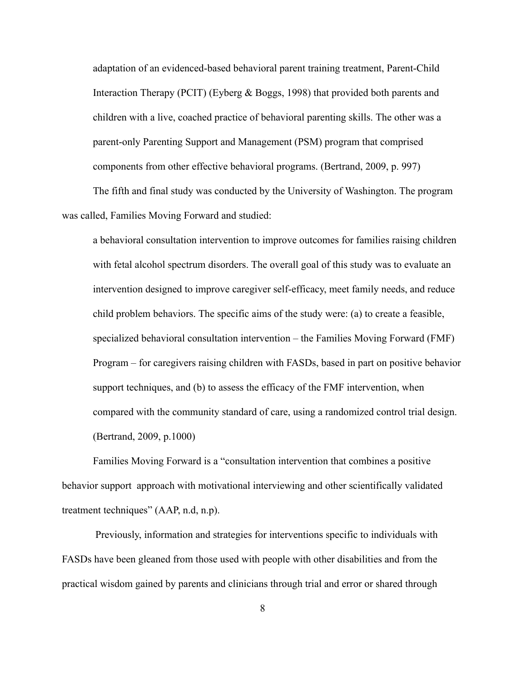adaptation of an evidenced-based behavioral parent training treatment, Parent-Child Interaction Therapy (PCIT) (Eyberg & Boggs, 1998) that provided both parents and children with a live, coached practice of behavioral parenting skills. The other was a parent-only Parenting Support and Management (PSM) program that comprised components from other effective behavioral programs. (Bertrand, 2009, p. 997)

The fifth and final study was conducted by the University of Washington. The program was called, Families Moving Forward and studied:

a behavioral consultation intervention to improve outcomes for families raising children with fetal alcohol spectrum disorders. The overall goal of this study was to evaluate an intervention designed to improve caregiver self-efficacy, meet family needs, and reduce child problem behaviors. The specific aims of the study were: (a) to create a feasible, specialized behavioral consultation intervention – the Families Moving Forward (FMF) Program – for caregivers raising children with FASDs, based in part on positive behavior support techniques, and (b) to assess the efficacy of the FMF intervention, when compared with the community standard of care, using a randomized control trial design. (Bertrand, 2009, p.1000)

Families Moving Forward is a "consultation intervention that combines a positive behavior support approach with motivational interviewing and other scientifically validated treatment techniques" (AAP, n.d, n.p).

 Previously, information and strategies for interventions specific to individuals with FASDs have been gleaned from those used with people with other disabilities and from the practical wisdom gained by parents and clinicians through trial and error or shared through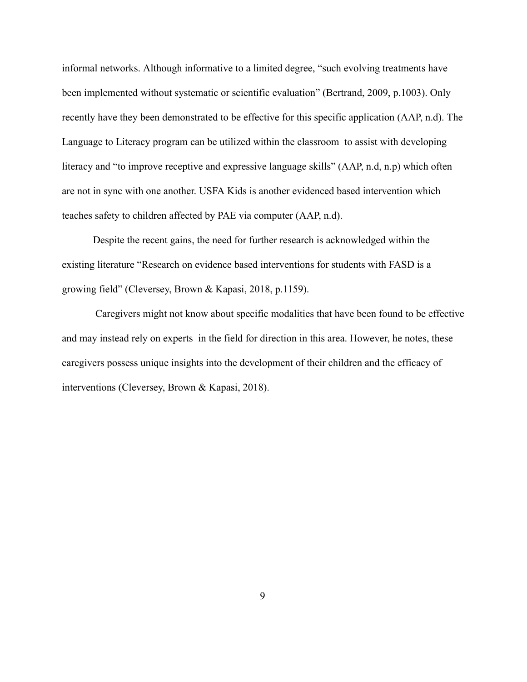informal networks. Although informative to a limited degree, "such evolving treatments have been implemented without systematic or scientific evaluation" (Bertrand, 2009, p.1003). Only recently have they been demonstrated to be effective for this specific application (AAP, n.d). The Language to Literacy program can be utilized within the classroom to assist with developing literacy and "to improve receptive and expressive language skills" (AAP, n.d, n.p) which often are not in sync with one another. USFA Kids is another evidenced based intervention which teaches safety to children affected by PAE via computer (AAP, n.d).

Despite the recent gains, the need for further research is acknowledged within the existing literature "Research on evidence based interventions for students with FASD is a growing field" (Cleversey, Brown & Kapasi, 2018, p.1159).

 Caregivers might not know about specific modalities that have been found to be effective and may instead rely on experts in the field for direction in this area. However, he notes, these caregivers possess unique insights into the development of their children and the efficacy of interventions (Cleversey, Brown & Kapasi, 2018).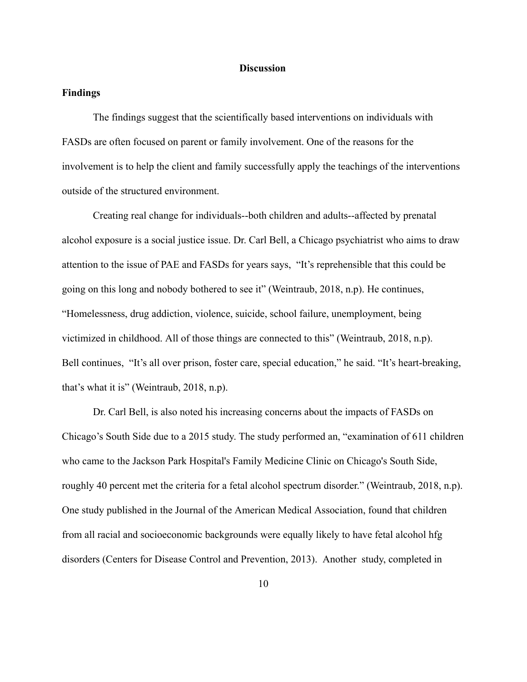#### **Discussion**

# **Findings**

The findings suggest that the scientifically based interventions on individuals with FASDs are often focused on parent or family involvement. One of the reasons for the involvement is to help the client and family successfully apply the teachings of the interventions outside of the structured environment.

Creating real change for individuals--both children and adults--affected by prenatal alcohol exposure is a social justice issue. Dr. Carl Bell, a Chicago psychiatrist who aims to draw attention to the issue of PAE and FASDs for years says, "It's reprehensible that this could be going on this long and nobody bothered to see it" (Weintraub, 2018, n.p). He continues, "Homelessness, drug addiction, violence, suicide, school failure, unemployment, being victimized in childhood. All of those things are connected to this" (Weintraub, 2018, n.p). Bell continues, "It's all over prison, foster care, special education," he said. "It's heart-breaking, that's what it is" (Weintraub, 2018, n.p).

Dr. Carl Bell, is also noted his increasing concerns about the impacts of FASDs on Chicago's South Side due to a 2015 study. The study performed an, "examination of 611 children who came to the Jackson Park Hospital's Family Medicine Clinic on Chicago's South Side, roughly 40 percent met the criteria for a fetal alcohol spectrum disorder." (Weintraub, 2018, n.p). One study published in the Journal of the American Medical Association, found that children from all racial and socioeconomic backgrounds were equally likely to have fetal alcohol hfg disorders (Centers for Disease Control and Prevention, 2013). Another study, completed in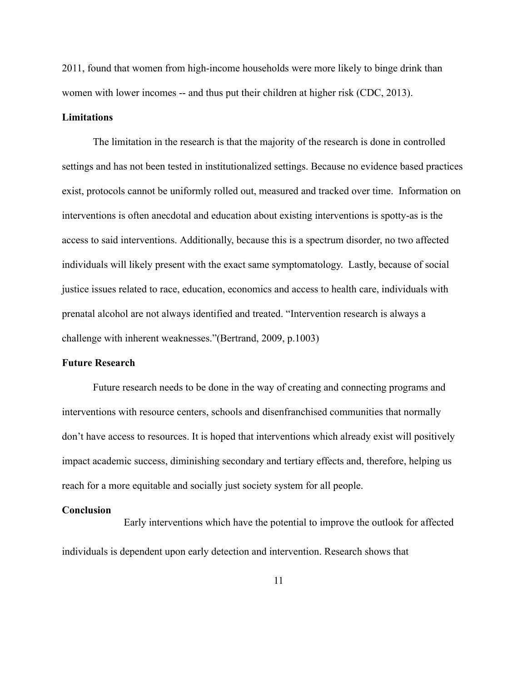2011, found that women from high-income households were more likely to binge drink than women with lower incomes -- and thus put their children at higher risk (CDC, 2013).

## **Limitations**

The limitation in the research is that the majority of the research is done in controlled settings and has not been tested in institutionalized settings. Because no evidence based practices exist, protocols cannot be uniformly rolled out, measured and tracked over time. Information on interventions is often anecdotal and education about existing interventions is spotty-as is the access to said interventions. Additionally, because this is a spectrum disorder, no two affected individuals will likely present with the exact same symptomatology. Lastly, because of social justice issues related to race, education, economics and access to health care, individuals with prenatal alcohol are not always identified and treated. "Intervention research is always a challenge with inherent weaknesses."(Bertrand, 2009, p.1003)

#### **Future Research**

Future research needs to be done in the way of creating and connecting programs and interventions with resource centers, schools and disenfranchised communities that normally don't have access to resources. It is hoped that interventions which already exist will positively impact academic success, diminishing secondary and tertiary effects and, therefore, helping us reach for a more equitable and socially just society system for all people.

#### **Conclusion**

Early interventions which have the potential to improve the outlook for affected individuals is dependent upon early detection and intervention. Research shows that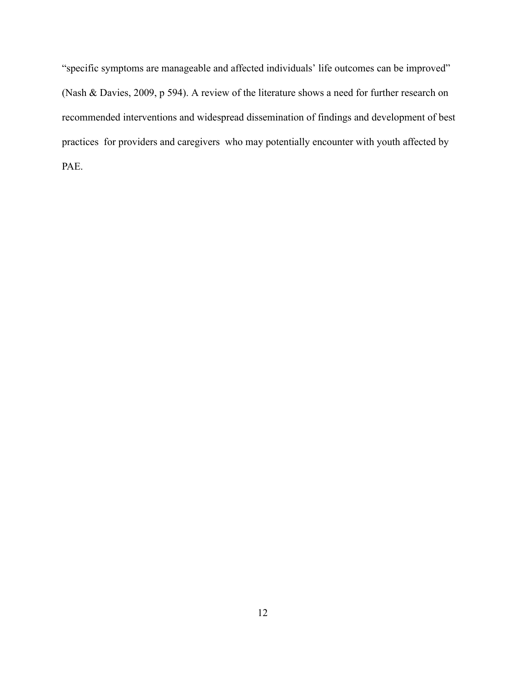"specific symptoms are manageable and affected individuals' life outcomes can be improved" (Nash & Davies, 2009, p 594). A review of the literature shows a need for further research on recommended interventions and widespread dissemination of findings and development of best practices for providers and caregivers who may potentially encounter with youth affected by PAE.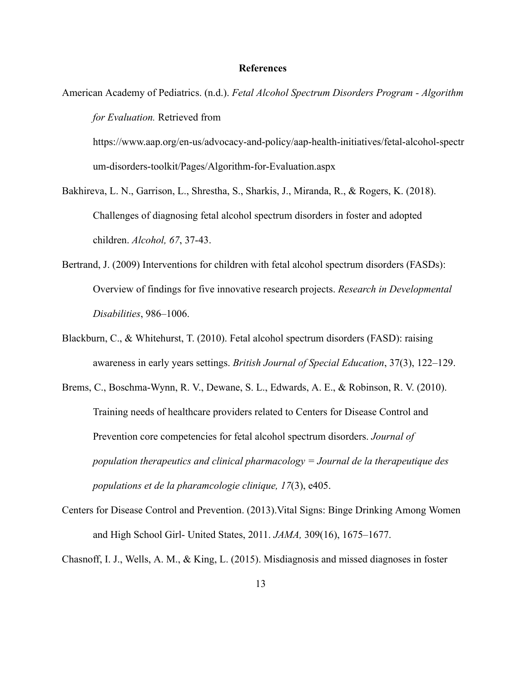## **References**

American Academy of Pediatrics. (n.d.). *Fetal Alcohol Spectrum Disorders Program - Algorithm for Evaluation.* Retrieved from

[https://www.aap.org/en-us/advocacy-and-policy/aap-health-initiatives/fetal-alcohol-spectr](https://www.aap.org/en-us/advocacy-and-policy/aap-health-initiatives/fetal-alcohol-spectrum-disorders-toolkit/Pages/Algorithm-for-Evaluation.aspx) [um-disorders-toolkit/Pages/Algorithm-for-Evaluation.aspx](https://www.aap.org/en-us/advocacy-and-policy/aap-health-initiatives/fetal-alcohol-spectrum-disorders-toolkit/Pages/Algorithm-for-Evaluation.aspx) 

- Bakhireva, L. N., Garrison, L., Shrestha, S., Sharkis, J., Miranda, R., & Rogers, K. (2018). Challenges of diagnosing fetal alcohol spectrum disorders in foster and adopted children. *Alcohol, 67* , 37-43.
- Bertrand, J. (2009) Interventions for children with fetal alcohol spectrum disorders (FASDs): Overview of findings for five innovative research projects. *Research in Developmental Disabilities* , 986–1006.
- Blackburn, C., & Whitehurst, T. (2010). Fetal alcohol spectrum disorders (FASD): raising awareness in early years settings. *British Journal of Special Education* , 37(3), 122–129.
- Brems, C., Boschma-Wynn, R. V., Dewane, S. L., Edwards, A. E., & Robinson, R. V. (2010). Training needs of healthcare providers related to Centers for Disease Control and Prevention core competencies for fetal alcohol spectrum disorders. *Journal of population therapeutics and clinical pharmacology = Journal de la therapeutique des populations et de la pharamcologie clinique, 17(3), e405.*
- Centers for Disease Control and Prevention. (2013).Vital Signs: Binge Drinking Among Women and High School Girl- United States, 2011. *JAMA,* 309(16), 1675–1677.

Chasnoff, I. J., Wells, A. M., & King, L. (2015). Misdiagnosis and missed diagnoses in foster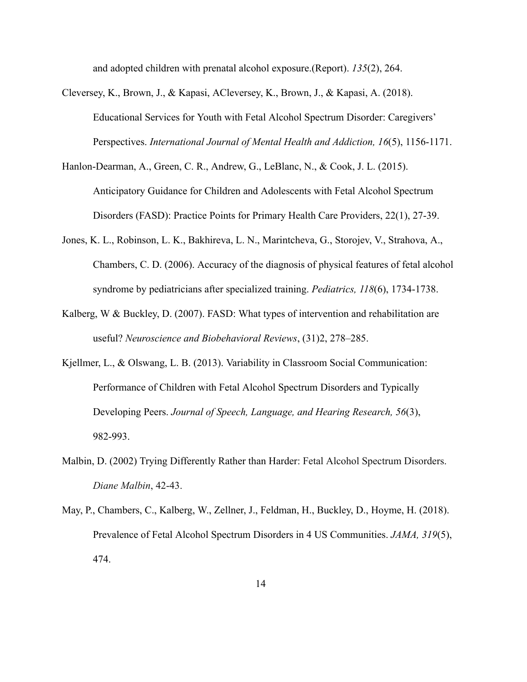and adopted children with prenatal alcohol exposure.(Report). *135* (2), 264.

- Cleversey, K., Brown, J., & Kapasi, ACleversey, K., Brown, J., & Kapasi, A. (2018). Educational Services for Youth with Fetal Alcohol Spectrum Disorder: Caregivers' Perspectives. *International Journal of Mental Health and Addiction, 16(5)*, 1156-1171.
- Hanlon-Dearman, A., Green, C. R., Andrew, G., LeBlanc, N., & Cook, J. L. (2015). Anticipatory Guidance for Children and Adolescents with Fetal Alcohol Spectrum Disorders (FASD): Practice Points for Primary Health Care Providers, 22(1), 27-39.
- Jones, K. L., Robinson, L. K., Bakhireva, L. N., Marintcheva, G., Storojev, V., Strahova, A., Chambers, C. D. (2006). Accuracy of the diagnosis of physical features of fetal alcohol syndrome by pediatricians after specialized training. *Pediatrics, 118* (6), 1734-1738.
- Kalberg, W & Buckley, D. (2007). FASD: What types of intervention and rehabilitation are useful? *Neuroscience and Biobehavioral Reviews* , (31)2, 278–285.
- Kjellmer, L., & Olswang, L. B. (2013). Variability in Classroom Social Communication: Performance of Children with Fetal Alcohol Spectrum Disorders and Typically Developing Peers. *Journal of Speech, Language, and Hearing Research, 56(3)*, 982-993.
- Malbin, D. (2002) Trying Differently Rather than Harder: Fetal Alcohol Spectrum Disorders. *Diane Malbin* , 42-43.
- May, P., Chambers, C., Kalberg, W., Zellner, J., Feldman, H., Buckley, D., Hoyme, H. (2018). Prevalence of Fetal Alcohol Spectrum Disorders in 4 US Communities. *JAMA*, 319(5), 474.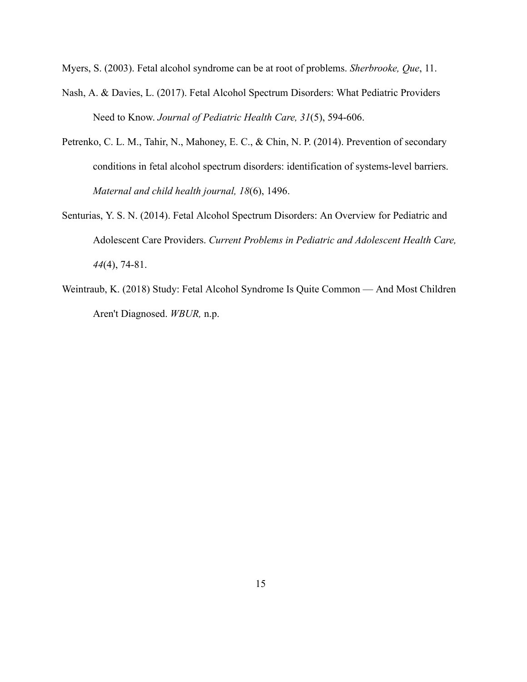Myers, S. (2003). Fetal alcohol syndrome can be at root of problems. *Sherbrooke, Que* , 11.

- Nash, A. & Davies, L. (2017). Fetal Alcohol Spectrum Disorders: What Pediatric Providers Need to Know. *Journal of Pediatric Health Care, 31*(5), 594-606.
- Petrenko, C. L. M., Tahir, N., Mahoney, E. C., & Chin, N. P. (2014). Prevention of secondary conditions in fetal alcohol spectrum disorders: identification of systems-level barriers. *Maternal and child health journal, 18* (6), 1496.
- Senturias, Y. S. N. (2014). Fetal Alcohol Spectrum Disorders: An Overview for Pediatric and Adolescent Care Providers. *Current Problems in Pediatric and Adolescent Health Care, 44*(4), 74-81.
- Weintraub, K. (2018) Study: Fetal Alcohol Syndrome Is Quite Common And Most Children Aren't Diagnosed. *WBUR,* n.p.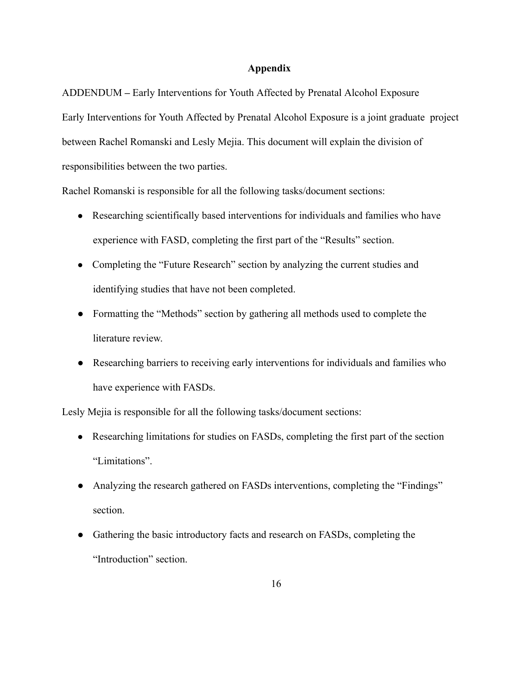# **Appendix**

ADDENDUM **–** Early Interventions for Youth Affected by Prenatal Alcohol Exposure Early Interventions for Youth Affected by Prenatal Alcohol Exposure is a joint graduate project between Rachel Romanski and Lesly Mejia. This document will explain the division of responsibilities between the two parties.

Rachel Romanski is responsible for all the following tasks/document sections:

- Researching scientifically based interventions for individuals and families who have experience with FASD, completing the first part of the "Results" section.
- Completing the "Future Research" section by analyzing the current studies and identifying studies that have not been completed.
- Formatting the "Methods" section by gathering all methods used to complete the literature review.
- Researching barriers to receiving early interventions for individuals and families who have experience with FASDs.

Lesly Mejia is responsible for all the following tasks/document sections:

- Researching limitations for studies on FASDs, completing the first part of the section "Limitations".
- Analyzing the research gathered on FASDs interventions, completing the "Findings" section.
- Gathering the basic introductory facts and research on FASDs, completing the "Introduction" section.